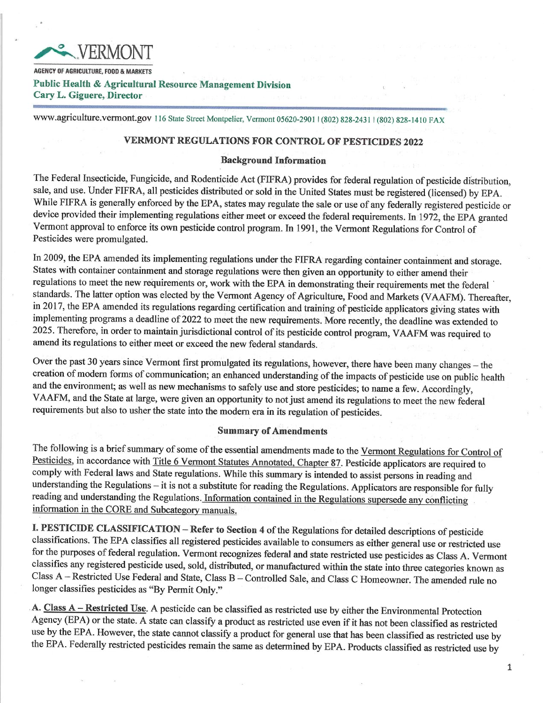

AGENCY OF AGRICULTURE, FOOD & MARKETS Public Health & Agricultural Resource Management Division Cary L. Giguere, Director

www.agriculture.vermont.gov 116 State Street Montpelier, Vermont 05620-2901 | (802) 828-2431 | (802) 828-1410 FAX

# VERMONT REGULATIONS FOR CONTROL OF PESTICIDES 2022

## Background Information

The Federal Insecticide, Fungicide, and Rodenticide Act (FIFRA) provides for federal regulation of pesticide distribution, sale, and use. Under FIFRA, all pesticides distributed or sold in the United States must be registered (licensed) by EPA. While FIFRA is generally enforced by the EPA, states may regulate the sale or use of any federally registered pesticide or device provided their implementing regulations either meet or exceed the federal requirements. In 1972, the EPA granted Vermont approval to enforce its own pesticide control program. In 1991, the Vermont Regulations for Control of Pesticides were promulgated.

In 2009, the EPA amended its implementing regulations under the FIFRA regarding container containment and storage. States with container containment and storage regulations were then given an opportunity to either amend their regulations to meet the new requirements or, work with the EPA in demonstrating their requirements met the federal standards. The latter option was elected by the Vermont Agency of Agriculture, Food and Markets (VAAFM). Thereafter, in 2017, the EPA amended its regulations regarding certification and training of pesticide applicators giving states with implementing programs a deadline of 2022 to meet the new requirements. More recently, the deadline was extended to 2025. Therefore, in order to maintain jurisdictional control of its pesticide control program, VAAFM was required to amend its regulations to either meet or exceed the new federal standards.

Over the past 30 years since Vermont first promulgated its regulations, however, there have been many changes — the creation of modern forms of communication; an enhanced understanding of the impacts of pesticide use on public health and the environment; as well as new mechanisms to safely use and store pesticides; to name a few. Accordingly, VAAFM, and the State at large, were given an opportunity to not just amend its regulations to meet the new federal requirements but also to usher the state into the modern era in its regulation of pesticides.

## Summary of Amendments

The following is a brief summary of some of the essential amendments made to the Vermont Regulations for Control of Pesticides, in accordance with Title 6 Vermont Statutes Annotated, Chapter 87. Pesticide applicators are required to comply with Federal laws and State regulations. While this summary is intended to assist persons in reading and understanding the Regulations — it is not a substitute for reading the Regulations. Applicators are responsible for fully reading and understanding the Regulations. Information contained in the Regulations supersede any conflicting information in the CORE and Subcategory manuals.

I. PESTICIDE CLASSIFICATION — Refer to Section 4 of the Regulations for detailed descriptions of pesticide classifications. The EPA classifies all registered pesticides available to consumers as either general use or restricted use for the purposes of federal regulation. Vermont recognizes federal and state restricted use pesticides as Class A. Vermont classifies any registered pesticide used, sold, distributed, or manufactured within the state into three categories known as Class A — Restricted Use Federal and State, Class B — Controlled Sale, and Class C Homeowner. The amended rule no longer classifies pesticides as "By Permit Only."

A. Class A – Restricted Use. A pesticide can be classified as restricted use by either the Environmental Protection Agency (EPA) or the state. A state can classify a product as restricted use even if it has not been classified as restricted use by the EPA. However, the state cannot classify a product for general use that has been classified as restricted use by the EPA. Federally restricted pesticides remain the same as determined by EPA. Products classified as restricted use by

 $\mathbf{1}$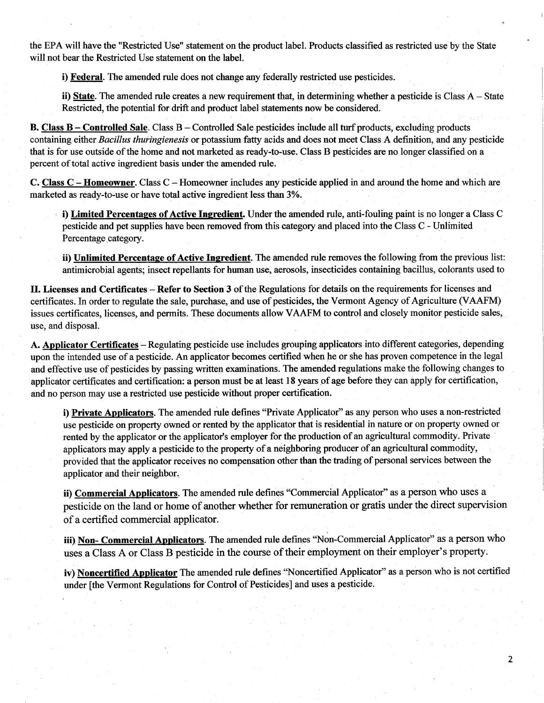the EPA will have the "Restricted Use" statement on the product label. Products classified as restricted use by the State will not bear the Restricted Use statement on the label.

i) Federal. The amended rule does not change any federally restricted use pesticides.

ii) State. The amended rule creates a new requirement that, in determining whether a pesticide is Class A – State Restricted, the potential for drift and product label statements now be considered.

B. Class B – Controlled Sale. Class B – Controlled Sale pesticides include all turf products, excluding products containing either Bacillus thuringienesis or potassium fatty acids and does not meet Class A definition, and any pesticide that is for use outside of the home and not marketed as ready-to-use. Class B pesticides are no longer classified on a percent of total active ingredient basis under the amended rule.

C. Class C - Homeowner. Class C — Homeowner includes any pesticide applied in and around the home and which are marketed as ready-to-use or have total active ingredient less than 3%.

i) Limited Percentages of Active Ingredient. Under the amended rule, anti-fouling paint is no longer a Class C pesticide and pet supplies have been removed from this category and placed into the Class C - Unlimited Percentage category.

ii) Unlimited Percentage of Active Ingredient. The amended rule removes the following from the previous list: antimicrobial agents; insect repellents for human use, aerosols, insecticides containing bacillus, colorants used to

II. Licenses and Certificates — Refer to Section 3 of the Regulations for details on the requirements for licenses and certificates. In order to regulate the sale, purchase, and use of pesticides, the Vermont Agency of Agriculture (VAAFM) issues certificates, licenses, and permits. These documents allow VAAFM to control and closely monitor pesticide sales, use, and disposal.

A. Applicator Certificates - Regulating pesticide use includes grouping applicators into different categories, depending upon the intended use of apesticide. An applicator becomes certified when he or she has proven competence in the legal and effective use of pesticides by passing written examinations. The amended regulations make the following changes to applicator certificates and certification: a person must be at least 18 years of age before they can apply for certification, and no person may use a restricted use pesticide without proper certification.

i) Private Applicators. The amended rule defines "Private Applicator" as any person who uses a non-restricted use pesticide on property owned or rented by the applicator that is residential in nature or on property owned or rented by the applicator or the applicator's employer for the production of an agricultural commodity. Private applicators may apply a pesticide to the property of a neighboring producer of an agricultural commodity, provided that the applicator receives no compensation other than the trading of personal services between the applicator and their neighbor..

ii) Commercial Applicators. The amended rule defines "Commercial Applicator" as a person who uses a pesticide on the land or home of another whether for remuneration or gratis under the direct supervision of a certified commercial applicator.

iii) Non- Commercial Applicators. The amended rule defines "Non-Commercial Applicator" as a person who uses a Class. A or Class. B pesticide in the course of their employment on their employer's property.

iv) Noncertified Applicator The amended rule defines "Noncertified Applicator" as a person who is not certified under [the Vermont Regulations for Control of Pesticides] and uses a pesticide.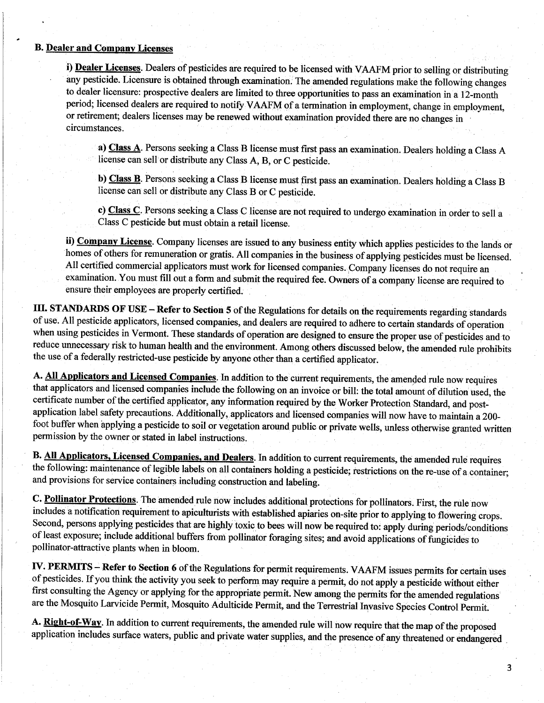## **B. Dealer and Company Licenses**

i) Dealer Licenses. Dealers of pesticides are required to be licensed with VAAFM prior to selling or distributing any pesticide. Licensure is obtained through examination. The amended regulations make the following changes to dealer licensure: prospective dealers are limited to three opportunities to pass an examination in a 12-month period; licensed dealers are required to notify: VAAFM of a termination in employment, change in employment, or retirement; dealers licenses may be renewed without examination provided there are no changes in circumstances.

a) Class A. Persons seeking a Class B license must first pass an examination. Dealers holding a Class A license can sell`or distribute any Class A, B, or C pesticide.

b) Class B. Persons seeking a Class B license must first pass an examination. Dealers holding a Class B license can sell or distribute any Class B or C pesticide.

c) Class C. Persons seeking a Class C license are not required to undergo examination in order to sell a Class C pesticide but must obtain. a retail license.

ii) Company License. Company licenses are issued to any business entity which applies pesticides to the lands or homes of others for remuneration or gratis. All companies in the business of applying pesticides must be licensed. All certified commercial applicators must work for licensed companies. Company licenses do not require an examination. You must fill out a form and submit the required fee. Owners of a company license are required to ensure their employees are properly certified.

III. STANDARDS OF USE – Refer to Section 5 of the Regulations for details on the requirements regarding standards of use. All pesticide applicators, licensed companies, and dealers are required to adhere to certain standards of operation when using pesticides in Vermont. These standards of operation are designed to ensure the proper use of pesticides and to reduce unnecessary risk to human health and the environment. Among others discussed below, the amended rule prohibits the use of a federally restricted-use pesticide by anyone other than a certified applicator.

A. All Applicators and Licensed Companies. In addition to the current requirements, the amended rule now requires that applicators and licensed companies include the following on an invoice or bill: the total amounf of dilution used, the certificate number of the certified applicator, any information required by the Worker Protection Standard, and postapplication label safety precautions. Additionally, applicators and licensed companies will now have to maintain a 200foot buffer when applying a pesticide to soil or vegetation around public or private wells, unless otherwise granted written permission by the owner or stated in label instructions..

B. All Applicators, Licensed Companies, and Dealers. In addition to current requirements, the amended rule requires the following: maintenance of legible labels on all containers holding a pesticide; restrictions on the re-use of a container; and provisions for service containers including construction and labeling.

C. Pollinator Protections. The amended rule now includes additional protections for pollinators. First, the rule now includes a notification requirement to apiculturists with established apiaries on-site prior to applying to flowering crops.. Second, persons applying pesticides that are highly toxic to bees will now be required to' apply during periods/conditions of least exposure; include additional buffers from pollinator foraging sites; and avoid applications of fungicides to pollinator-attractive plants when in bloom.

IV. PERMITS - Refer to Section 6 of the Regulations for permit requirements. VAAFM issues permits for certain uses of pesticides. If you think the activity you seek to perform may require a permit, do not apply a pesticide without either first consulting the Agency or applying for the appropriate permit. New among the permits for the amended regulations' are the Mosquito Larvicide Permit, Mosquito Adulticide Permit, and the Terrestrial Invasive Species Control Permit.

A. Right-of-Way. In addition to current requirements, the amended rule will now require that the map of the proposed application includes surface waters, public and private water supplies, and the presence of any threatened or endangered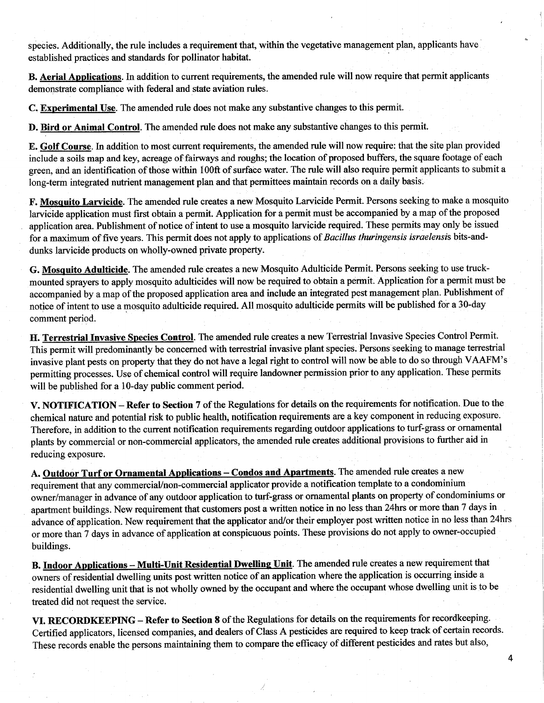species. Additionally, the rule includes a requirement that, within the vegetative management plan, applicants have established practices and standards for pollinator habitat.

B. Aerial Applications. In addition to current requirements, the amended rule will now require that permit applicants demonstrate compliance with federal and state aviation rules.

C. Experimental Use. The amended rule does not make any substantive changes to this permit.

D. Bird or Animal Control. The amended rule does not make any substantive changes to this permit.

E. Golf Course. In addition to most current requirements, the amended rule will now require: that the site plan provided include a soils map and key, acreage of fairways and roughs; the location of proposed buffers, the square footage of each green, and an identification of those within 100ft of surface water. The rule will also require permit applicants to submit a long-term integrated nutrient management plan and that permittees maintain records on a daily basis.

F. Mosquito Larvicide. The amended rule creates a new Mosquito Larvicide Permit. Persons seeking to make a mosquito larvicide application must first obtain a permit. Application for a permit must be accompanied by a map of the proposed application area. Publishment of notice of intent to use a mosquito larvicide required. These permits may only be issued for a maximum of five years. This permit does not apply to applications of Bacillus thuringensis israelensis bits-anddunks larvicide products on wholly-owned private property.

G. Mosquito Adulticide. The amended rule creates a new Mosquito Adulticide Permit. Persons seeking to use truckmounted sprayers to apply mosquito adulticides will now be required to obtain a permit. Application for a permit must be accompanied by a map of the proposed application area and include an integrated pest management plan. Publishment of notice of intent to use a mosquito adulticide required. All mosquito adulticide permits will be published for a 30-day comment period.

H. Terrestrial Invasive Species Control. The amended rule creates a new Terrestrial Invasive Species Control Permit. This permit will predominantly be concerned with terrestrial invasive plant species. Persons seeking to manage terrestrial invasive plant pests on property that they do not have a legal right to control will now be able to do so through VAAFM's permitting processes. Use of chemical control will require landowner permission prior to any application. These permits will be published for a 10-day public comment period.

V. NOTIFICATION – Refer to Section 7 of the Regulations for details on the requirements for notification. Due to the chemical nature and potential risk to public health, notification requirements are a key component in reducing exposure. Therefore, in addition to the current notification requirements regarding outdoor applications to turf-grass or ornamental plants by commercial or non-commercial applicators, the amended rule creates additional provisions to further aid in reducing exposure.

A. Outdoor Turf or Ornamental Applications – Condos and Apartments. The amended rule creates a new requirement that any commerciaUnon-commercial applicator provide a notification template to a condominium owner/manager in advance of any outdoor application to turf-grass or ornamental plants on property of condominiums or apartment buildings. New requirement that customers post a written notice in no less than 24hrs or more than 7 days in advance of application. New requirement that the applicator and/or their employer post written notice in no less than 24hrs or more than 7 days in advance of application at conspicuous points. These provisions do not apply to owner-occupied buildings.

B. Indoor Applications – Multi-Unit Residential Dwelling Unit. The amended rule creates a new requirement that owners of residential dwelling units post written notice of an application where the application is occurring inside a residential dwelling unit that is not wholly owned by the occupant and where the occupant whose dwelling unit is to be treated did not request the service.

VI. RECORDKEEPING – Refer to Section 8 of the Regulations for details on the requirements for recordkeeping. Certified applicators, licensed companies, and dealers of Class A pesticides are required to keep track of certain records. These records enable the persons maintaining them to compare the efficacy of different pesticides and rates but also,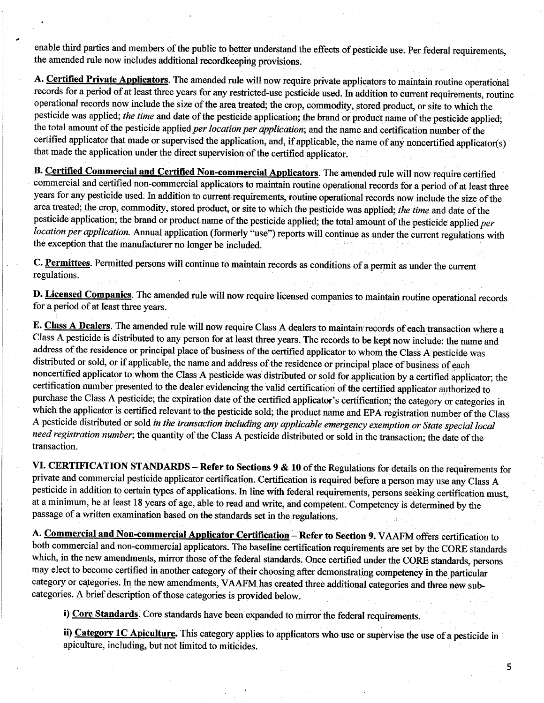enable third parties and members of the public to better understand the effects of pesticide use. Per federal requirements, the amended rule now includes additional recordkeeping provisions.

a

A. Certified Private Applicators. The amended rule will now require private applicators to maintain routine operational records for a period of at least three years for any restricted-use pesticide used. In addition to current requirements; routine operational records now.include the size of the area treated; the crop, commodity, ,stored product, or site to which the pesticide was applied; the time and date of the pesticide application; the brand or product name of the pesticide applied; the total amount of the pesticide applied per location per application; and the name and certification number of the certified applicator that made or supervised the application, and, if applicable, the name of any noncertified applicator(s) that made the application under the direct supervision of the certified applicator. -

B. Certified Commercial and Certified Non-commercial Applicators. The amended rule will now require certified commercial and certified non-commercial applicators to maintain routine operational records for a period of at least three years for any pesticide used. In addition to current requirements, routine operational records now include the size of the area treated; the crop, commodity, stored product, or site to which the pesticide was applied; the time and date of the pesticide application; the brand or product name of the pesticide applied; the total amount of the pesticide applied per location per application. Annual application (formerly "use") reports will continue as under the current regulations with the exception that the manufacturer no longer be included.

C. Permittees. Permitted persons will continue to maintain records as conditions of a permit as under the current regulations.

D. Licensed Companies. The amended rule will now require licensed companies to maintain routine operational records for a period of at least three years.

E. Class A Dealers. The amended rule will now require Class A dealers to maintain records of each transaction where a Class A pesticide is distributed to any person for at least three years. The records to be kept now include: the name and address of the residence or principal place of business of the certified applicator to whom the Class A pesticide was distributed or sold, or if applicable, the name and address of the residence or principal place of business of each noncertified applicator to whom the Class A pesticide was distributed or sold for application by a certified applicator; the certification number presented to the dealer evidencing the valid certification of the certified applicator authorized to purchase the Class A pesticide; the expiration date of the certified applicator's certification; the category or categories in which the applicator is certified relevant to the pesticide sold; the product name and EPA registration number of the Class A pesticide distributed or sold in the transaction including any applicable emergency exemption or State special local need registration number; the quantity of the Class A pesticide distributed or sold in the transaction; the date of the transaction.

VI. CERTIFICATION STANDARDS — Refer to Sections 9 & 10 of the Regulations for details on the requirements for private and commercial pesticide applicator certification. Certification is required before a person may use any Class A pesticide in addition to certain types of applications. In line with federal requirements, persons seeking certification must, at a minimum, be at least 18 years of age, able to read and write, and competent: Competency is determined by the passage of a written examination based on the standards set in the regulations.

A. Commercial and Non-commercial Applicator Certification - Refer to Section 9. VAAFM offers certification to both commercial and non-commercial applicators. The baseline certification requirements are set by the CORE standards which, in the new amendments, mirror those of the federal standards. Once certified under the CORE standards, persons may elect to become certified in another category of their choosing after demonstrating competency in the particular category or categories. In the new amendments, VAAFM has created three additional categories and three new subcategories. A brief description of those categories is provided below.

i) Core Standards. Core standards have been expanded to mirror the federal requirements.

ii) Category 1C Apiculture. This category applies to applicators who use or supervise the use of a pesticide in apiculture, including, but not limited to miticides.

5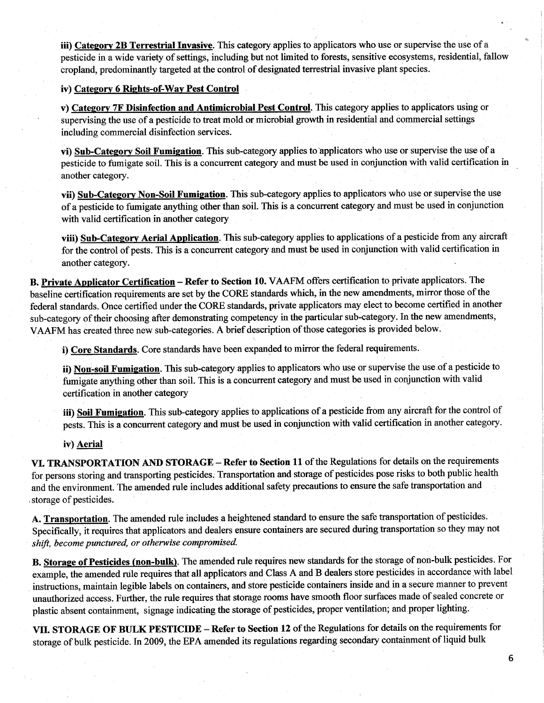iii) Category 2B Terrestrial Invasive. This category applies to applicators who use or supervise the use of a pesticide in a wide variety of settings, including but not limited to forests, sensitive ecosystems, residential, fallow cropland, predominantly targeted at the control of designated terrestrial invasive plant species.

## iv) Category 6 Rights-of-Way Pest Control

v) Category 7F Disinfection and Antimicrobial Pest Control. This category applies to applicators using or supervising the use of a pesticide to treat mold or microbial growth in residential and commercial settings including commercial disinfection services.

vi) Sub-Category Soil Fumigation. This sub-category applies to applicators who use or supervise the use of a pesticide to fumigate soil. This is a concurrent category and must be used in conjunction with valid certification in another category.

vii) Sub-Category Non-Soil Fumigation. This sub-category applies to applicators who use or supervise the use of a pesticide to fumigate anything other than soil. This is a concurrent category and must be used in conjunction with valid certification in another category

viii) Sub-Category Aerial Application. This sub-category applies to applications of a pesticide from any aircraft for the control of pests. This is a concurrent category and must be used in conjunction with valid certification in another category.

B. Private Applicator Certification – Refer to Section 10. VAAFM offers certification to private applicators. The baseline certification requirements are set by the CORE standards which, in the new amendments, mirror those of the federal standards. Once certified under the CORE standards, private applicators may elect to become certified in another sub-category of their choosing after demonstrating competency in the particular sub-category. In the new amendments, VAAFM has created three new sub-categories. A brief description of those categories is provided below.

i) Core Standards. Core standards have been expanded to mirror the federal requirements.

ii) Non-soil Fumigation. This sub-category applies to applicators who use or supervise the use of a pesticide to fumigate anything other than soil. This is a concurrent category and must be used in conjunction with valid certification in another category

iii) Soil Fumigation. This sub-category applies to applications of a pesticide from any aircraft for the control of pests. This is a concurrent category and must be used in conjunction with valid certification in another category.

## iv) Aerial

VI. TRANSPORTATION AND STORAGE – Refer to Section 11 of the Regulations for details on the requirements for persons storing and transporting pesticides: Transportation and storage of pesticides pose risks to both public health and the environment. The amended rule includes additional safety precautions to ensure the safe transportation and storage of pesticides.

A. Transportation. The amended rule includes a heightened standard to ensure the safe transportation of pesticides. Specifically, it requires that applicators and dealers ensure containers are secured during transportation so they may not shift, become punctured, or otherwise compromised.

B. Storage of Pesticides (non-bulk). The amended rule requires new standards for the storage of non-bulk pesticides. For example, the amended rule requires that all applicators and Class A and B dealers store pesticides in accordance with label instructions, maintain legible labels on containers, and store pesticide containers inside and in a secure manner to prevent unauthorized access. Further, the rule requires that storage rooms have smooth floor surfaces made of sealed concrete or plastic absent containment, signage indicating the storage of pesticides, proper ventilation; and proper lighting.

VII. STORAGE OF BULK PESTICIDE — Refer to Section 12 of the Regulations for details on the requirements for storage of bulk pesticide. In 2009, the EPA amended its regulations regarding secondary containment of liquid bulk